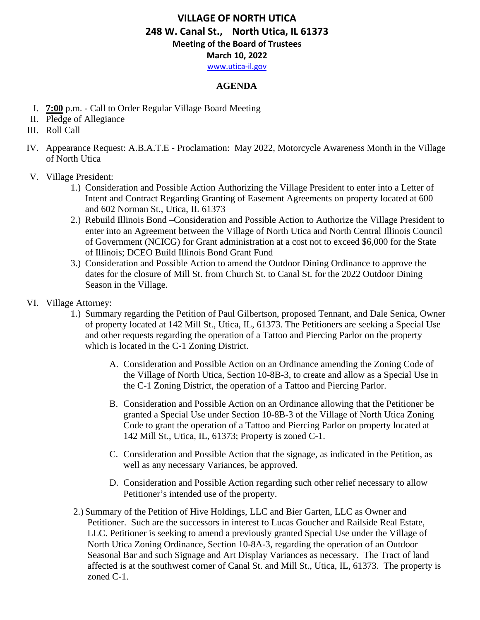[www.utica-il.gov](http://www.utica-il.gov/)

### **AGENDA**

- I. **7:00** p.m. Call to Order Regular Village Board Meeting
- II. Pledge of Allegiance
- III. Roll Call
- IV. Appearance Request: A.B.A.T.E Proclamation: May 2022, Motorcycle Awareness Month in the Village of North Utica
- V. Village President:
	- 1.) Consideration and Possible Action Authorizing the Village President to enter into a Letter of Intent and Contract Regarding Granting of Easement Agreements on property located at 600 and 602 Norman St., Utica, IL 61373
	- 2.) Rebuild Illinois Bond –Consideration and Possible Action to Authorize the Village President to enter into an Agreement between the Village of North Utica and North Central Illinois Council of Government (NCICG) for Grant administration at a cost not to exceed \$6,000 for the State of Illinois; DCEO Build Illinois Bond Grant Fund
	- 3.) Consideration and Possible Action to amend the Outdoor Dining Ordinance to approve the dates for the closure of Mill St. from Church St. to Canal St. for the 2022 Outdoor Dining Season in the Village.
- VI. Village Attorney:
	- 1.) Summary regarding the Petition of Paul Gilbertson, proposed Tennant, and Dale Senica, Owner of property located at 142 Mill St., Utica, IL, 61373. The Petitioners are seeking a Special Use and other requests regarding the operation of a Tattoo and Piercing Parlor on the property which is located in the C-1 Zoning District.
		- A. Consideration and Possible Action on an Ordinance amending the Zoning Code of the Village of North Utica, Section 10-8B-3, to create and allow as a Special Use in the C-1 Zoning District, the operation of a Tattoo and Piercing Parlor.
		- B. Consideration and Possible Action on an Ordinance allowing that the Petitioner be granted a Special Use under Section 10-8B-3 of the Village of North Utica Zoning Code to grant the operation of a Tattoo and Piercing Parlor on property located at 142 Mill St., Utica, IL, 61373; Property is zoned C-1.
		- C. Consideration and Possible Action that the signage, as indicated in the Petition, as well as any necessary Variances, be approved.
		- D. Consideration and Possible Action regarding such other relief necessary to allow Petitioner's intended use of the property.
	- 2.) Summary of the Petition of Hive Holdings, LLC and Bier Garten, LLC as Owner and Petitioner. Such are the successors in interest to Lucas Goucher and Railside Real Estate, LLC. Petitioner is seeking to amend a previously granted Special Use under the Village of North Utica Zoning Ordinance, Section 10-8A-3, regarding the operation of an Outdoor Seasonal Bar and such Signage and Art Display Variances as necessary. The Tract of land affected is at the southwest corner of Canal St. and Mill St., Utica, IL, 61373. The property is zoned C-1.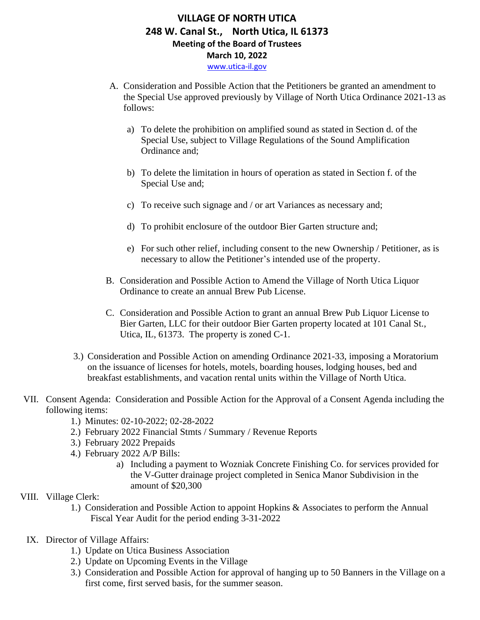- A. Consideration and Possible Action that the Petitioners be granted an amendment to the Special Use approved previously by Village of North Utica Ordinance 2021-13 as follows:
	- a) To delete the prohibition on amplified sound as stated in Section d. of the Special Use, subject to Village Regulations of the Sound Amplification Ordinance and;
	- b) To delete the limitation in hours of operation as stated in Section f. of the Special Use and;
	- c) To receive such signage and / or art Variances as necessary and;
	- d) To prohibit enclosure of the outdoor Bier Garten structure and;
	- e) For such other relief, including consent to the new Ownership / Petitioner, as is necessary to allow the Petitioner's intended use of the property.
- B. Consideration and Possible Action to Amend the Village of North Utica Liquor Ordinance to create an annual Brew Pub License.
- C. Consideration and Possible Action to grant an annual Brew Pub Liquor License to Bier Garten, LLC for their outdoor Bier Garten property located at 101 Canal St., Utica, IL, 61373. The property is zoned C-1.
- 3.) Consideration and Possible Action on amending Ordinance 2021-33, imposing a Moratorium on the issuance of licenses for hotels, motels, boarding houses, lodging houses, bed and breakfast establishments, and vacation rental units within the Village of North Utica.
- VII. Consent Agenda: Consideration and Possible Action for the Approval of a Consent Agenda including the following items:
	- 1.) Minutes: 02-10-2022; 02-28-2022
	- 2.) February 2022 Financial Stmts / Summary / Revenue Reports
	- 3.) February 2022 Prepaids
	- 4.) February 2022 A/P Bills:
		- a) Including a payment to Wozniak Concrete Finishing Co. for services provided for the V-Gutter drainage project completed in Senica Manor Subdivision in the amount of \$20,300

### VIII. Village Clerk:

- 1.) Consideration and Possible Action to appoint Hopkins & Associates to perform the Annual Fiscal Year Audit for the period ending 3-31-2022
- IX. Director of Village Affairs:
	- 1.) Update on Utica Business Association
	- 2.) Update on Upcoming Events in the Village
	- 3.) Consideration and Possible Action for approval of hanging up to 50 Banners in the Village on a first come, first served basis, for the summer season.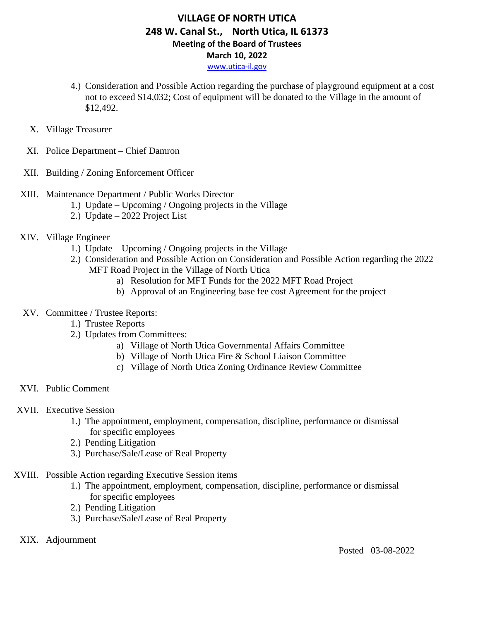[www.utica-il.gov](http://www.utica-il.gov/)

- 4.) Consideration and Possible Action regarding the purchase of playground equipment at a cost not to exceed \$14,032; Cost of equipment will be donated to the Village in the amount of \$12,492.
- X. Village Treasurer
- XI. Police Department Chief Damron
- XII. Building / Zoning Enforcement Officer
- XIII. Maintenance Department / Public Works Director
	- 1.) Update Upcoming / Ongoing projects in the Village
	- 2.) Update 2022 Project List
- XIV. Village Engineer
	- 1.) Update Upcoming / Ongoing projects in the Village
	- 2.) Consideration and Possible Action on Consideration and Possible Action regarding the 2022 MFT Road Project in the Village of North Utica
		- a) Resolution for MFT Funds for the 2022 MFT Road Project
		- b) Approval of an Engineering base fee cost Agreement for the project
- XV. Committee / Trustee Reports:
	- 1.) Trustee Reports
	- 2.) Updates from Committees:
		- a) Village of North Utica Governmental Affairs Committee
		- b) Village of North Utica Fire & School Liaison Committee
		- c) Village of North Utica Zoning Ordinance Review Committee
- XVI. Public Comment
- XVII. Executive Session
	- 1.) The appointment, employment, compensation, discipline, performance or dismissal for specific employees
	- 2.) Pending Litigation
	- 3.) Purchase/Sale/Lease of Real Property
- XVIII. Possible Action regarding Executive Session items
	- 1.) The appointment, employment, compensation, discipline, performance or dismissal for specific employees
	- 2.) Pending Litigation
	- 3.) Purchase/Sale/Lease of Real Property
	- XIX. Adjournment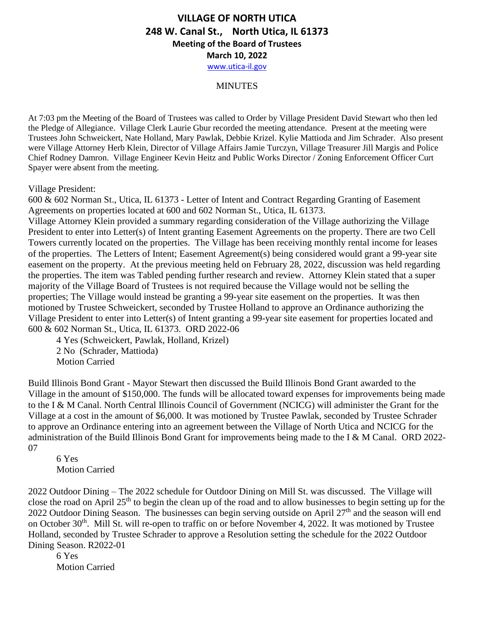#### **MINUTES**

At 7:03 pm the Meeting of the Board of Trustees was called to Order by Village President David Stewart who then led the Pledge of Allegiance. Village Clerk Laurie Gbur recorded the meeting attendance. Present at the meeting were Trustees John Schweickert, Nate Holland, Mary Pawlak, Debbie Krizel. Kylie Mattioda and Jim Schrader. Also present were Village Attorney Herb Klein, Director of Village Affairs Jamie Turczyn, Village Treasurer Jill Margis and Police Chief Rodney Damron. Village Engineer Kevin Heitz and Public Works Director / Zoning Enforcement Officer Curt Spayer were absent from the meeting.

Village President:

600 & 602 Norman St., Utica, IL 61373 - Letter of Intent and Contract Regarding Granting of Easement Agreements on properties located at 600 and 602 Norman St., Utica, IL 61373.

Village Attorney Klein provided a summary regarding consideration of the Village authorizing the Village President to enter into Letter(s) of Intent granting Easement Agreements on the property. There are two Cell Towers currently located on the properties. The Village has been receiving monthly rental income for leases of the properties. The Letters of Intent; Easement Agreement(s) being considered would grant a 99-year site easement on the property. At the previous meeting held on February 28, 2022, discussion was held regarding the properties. The item was Tabled pending further research and review. Attorney Klein stated that a super majority of the Village Board of Trustees is not required because the Village would not be selling the properties; The Village would instead be granting a 99-year site easement on the properties. It was then motioned by Trustee Schweickert, seconded by Trustee Holland to approve an Ordinance authorizing the Village President to enter into Letter(s) of Intent granting a 99-year site easement for properties located and 600 & 602 Norman St., Utica, IL 61373. ORD 2022-06

4 Yes (Schweickert, Pawlak, Holland, Krizel) 2 No (Schrader, Mattioda) Motion Carried

Build Illinois Bond Grant - Mayor Stewart then discussed the Build Illinois Bond Grant awarded to the Village in the amount of \$150,000. The funds will be allocated toward expenses for improvements being made to the I & M Canal. North Central Illinois Council of Government (NCICG) will administer the Grant for the Village at a cost in the amount of \$6,000. It was motioned by Trustee Pawlak, seconded by Trustee Schrader to approve an Ordinance entering into an agreement between the Village of North Utica and NCICG for the administration of the Build Illinois Bond Grant for improvements being made to the I & M Canal. ORD 2022- 07

6 Yes Motion Carried

2022 Outdoor Dining – The 2022 schedule for Outdoor Dining on Mill St. was discussed. The Village will close the road on April 25th to begin the clean up of the road and to allow businesses to begin setting up for the 2022 Outdoor Dining Season. The businesses can begin serving outside on April 27<sup>th</sup> and the season will end on October 30<sup>th</sup>. Mill St. will re-open to traffic on or before November 4, 2022. It was motioned by Trustee Holland, seconded by Trustee Schrader to approve a Resolution setting the schedule for the 2022 Outdoor Dining Season. R2022-01

6 Yes Motion Carried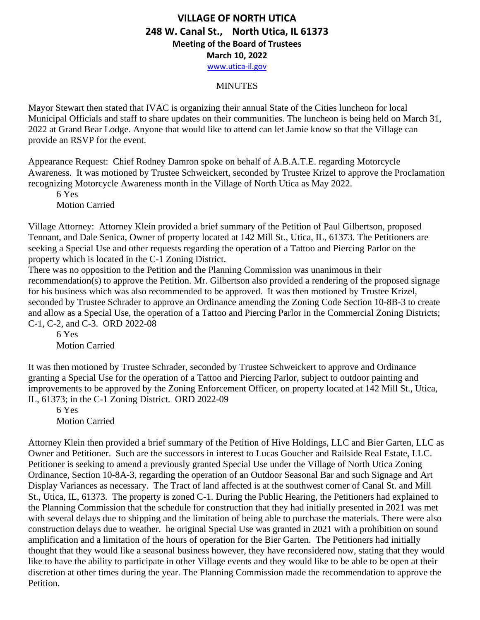#### **MINUTES**

Mayor Stewart then stated that IVAC is organizing their annual State of the Cities luncheon for local Municipal Officials and staff to share updates on their communities. The luncheon is being held on March 31, 2022 at Grand Bear Lodge. Anyone that would like to attend can let Jamie know so that the Village can provide an RSVP for the event.

Appearance Request: Chief Rodney Damron spoke on behalf of A.B.A.T.E. regarding Motorcycle Awareness. It was motioned by Trustee Schweickert, seconded by Trustee Krizel to approve the Proclamation recognizing Motorcycle Awareness month in the Village of North Utica as May 2022.

6 Yes Motion Carried

Village Attorney: Attorney Klein provided a brief summary of the Petition of Paul Gilbertson, proposed Tennant, and Dale Senica, Owner of property located at 142 Mill St., Utica, IL, 61373. The Petitioners are seeking a Special Use and other requests regarding the operation of a Tattoo and Piercing Parlor on the property which is located in the C-1 Zoning District.

There was no opposition to the Petition and the Planning Commission was unanimous in their recommendation(s) to approve the Petition. Mr. Gilbertson also provided a rendering of the proposed signage for his business which was also recommended to be approved. It was then motioned by Trustee Krizel, seconded by Trustee Schrader to approve an Ordinance amending the Zoning Code Section 10-8B-3 to create and allow as a Special Use, the operation of a Tattoo and Piercing Parlor in the Commercial Zoning Districts; C-1, C-2, and C-3. ORD 2022-08

6 Yes Motion Carried

It was then motioned by Trustee Schrader, seconded by Trustee Schweickert to approve and Ordinance granting a Special Use for the operation of a Tattoo and Piercing Parlor, subject to outdoor painting and improvements to be approved by the Zoning Enforcement Officer, on property located at 142 Mill St., Utica, IL, 61373; in the C-1 Zoning District. ORD 2022-09

6 Yes Motion Carried

Attorney Klein then provided a brief summary of the Petition of Hive Holdings, LLC and Bier Garten, LLC as Owner and Petitioner. Such are the successors in interest to Lucas Goucher and Railside Real Estate, LLC. Petitioner is seeking to amend a previously granted Special Use under the Village of North Utica Zoning Ordinance, Section 10-8A-3, regarding the operation of an Outdoor Seasonal Bar and such Signage and Art Display Variances as necessary. The Tract of land affected is at the southwest corner of Canal St. and Mill St., Utica, IL, 61373. The property is zoned C-1. During the Public Hearing, the Petitioners had explained to the Planning Commission that the schedule for construction that they had initially presented in 2021 was met with several delays due to shipping and the limitation of being able to purchase the materials. There were also construction delays due to weather. he original Special Use was granted in 2021 with a prohibition on sound amplification and a limitation of the hours of operation for the Bier Garten. The Petitioners had initially thought that they would like a seasonal business however, they have reconsidered now, stating that they would like to have the ability to participate in other Village events and they would like to be able to be open at their discretion at other times during the year. The Planning Commission made the recommendation to approve the Petition.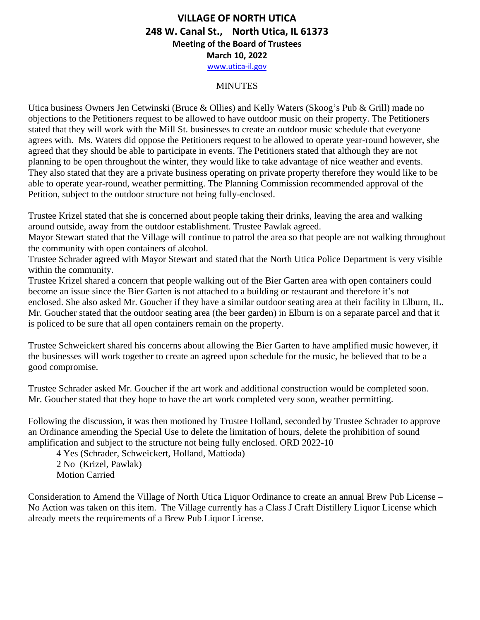#### **MINUTES**

Utica business Owners Jen Cetwinski (Bruce & Ollies) and Kelly Waters (Skoog's Pub & Grill) made no objections to the Petitioners request to be allowed to have outdoor music on their property. The Petitioners stated that they will work with the Mill St. businesses to create an outdoor music schedule that everyone agrees with. Ms. Waters did oppose the Petitioners request to be allowed to operate year-round however, she agreed that they should be able to participate in events. The Petitioners stated that although they are not planning to be open throughout the winter, they would like to take advantage of nice weather and events. They also stated that they are a private business operating on private property therefore they would like to be able to operate year-round, weather permitting. The Planning Commission recommended approval of the Petition, subject to the outdoor structure not being fully-enclosed.

Trustee Krizel stated that she is concerned about people taking their drinks, leaving the area and walking around outside, away from the outdoor establishment. Trustee Pawlak agreed.

Mayor Stewart stated that the Village will continue to patrol the area so that people are not walking throughout the community with open containers of alcohol.

Trustee Schrader agreed with Mayor Stewart and stated that the North Utica Police Department is very visible within the community.

Trustee Krizel shared a concern that people walking out of the Bier Garten area with open containers could become an issue since the Bier Garten is not attached to a building or restaurant and therefore it's not enclosed. She also asked Mr. Goucher if they have a similar outdoor seating area at their facility in Elburn, IL. Mr. Goucher stated that the outdoor seating area (the beer garden) in Elburn is on a separate parcel and that it is policed to be sure that all open containers remain on the property.

Trustee Schweickert shared his concerns about allowing the Bier Garten to have amplified music however, if the businesses will work together to create an agreed upon schedule for the music, he believed that to be a good compromise.

Trustee Schrader asked Mr. Goucher if the art work and additional construction would be completed soon. Mr. Goucher stated that they hope to have the art work completed very soon, weather permitting.

Following the discussion, it was then motioned by Trustee Holland, seconded by Trustee Schrader to approve an Ordinance amending the Special Use to delete the limitation of hours, delete the prohibition of sound amplification and subject to the structure not being fully enclosed. ORD 2022-10

4 Yes (Schrader, Schweickert, Holland, Mattioda) 2 No (Krizel, Pawlak) Motion Carried

Consideration to Amend the Village of North Utica Liquor Ordinance to create an annual Brew Pub License – No Action was taken on this item. The Village currently has a Class J Craft Distillery Liquor License which already meets the requirements of a Brew Pub Liquor License.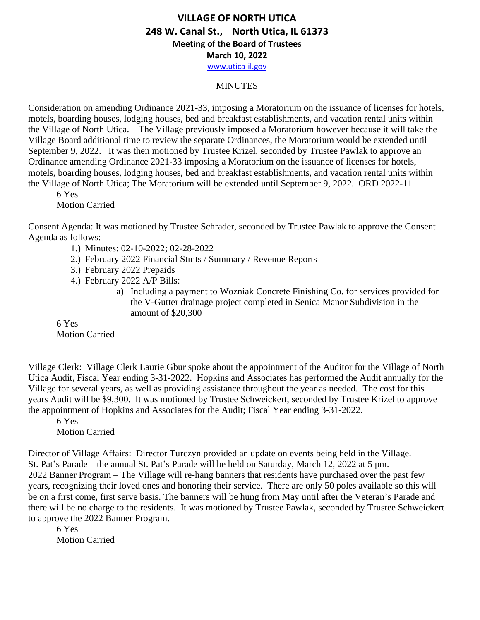[www.utica-il.gov](http://www.utica-il.gov/)

### **MINUTES**

Consideration on amending Ordinance 2021-33, imposing a Moratorium on the issuance of licenses for hotels, motels, boarding houses, lodging houses, bed and breakfast establishments, and vacation rental units within the Village of North Utica. – The Village previously imposed a Moratorium however because it will take the Village Board additional time to review the separate Ordinances, the Moratorium would be extended until September 9, 2022. It was then motioned by Trustee Krizel, seconded by Trustee Pawlak to approve an Ordinance amending Ordinance 2021-33 imposing a Moratorium on the issuance of licenses for hotels, motels, boarding houses, lodging houses, bed and breakfast establishments, and vacation rental units within the Village of North Utica; The Moratorium will be extended until September 9, 2022. ORD 2022-11

6 Yes Motion Carried

Consent Agenda: It was motioned by Trustee Schrader, seconded by Trustee Pawlak to approve the Consent Agenda as follows:

- 1.) Minutes: 02-10-2022; 02-28-2022
- 2.) February 2022 Financial Stmts / Summary / Revenue Reports
- 3.) February 2022 Prepaids
- 4.) February 2022 A/P Bills:
	- a) Including a payment to Wozniak Concrete Finishing Co. for services provided for the V-Gutter drainage project completed in Senica Manor Subdivision in the amount of \$20,300

6 Yes Motion Carried

Village Clerk: Village Clerk Laurie Gbur spoke about the appointment of the Auditor for the Village of North Utica Audit, Fiscal Year ending 3-31-2022. Hopkins and Associates has performed the Audit annually for the Village for several years, as well as providing assistance throughout the year as needed. The cost for this years Audit will be \$9,300. It was motioned by Trustee Schweickert, seconded by Trustee Krizel to approve the appointment of Hopkins and Associates for the Audit; Fiscal Year ending 3-31-2022.

6 Yes Motion Carried

Director of Village Affairs: Director Turczyn provided an update on events being held in the Village. St. Pat's Parade – the annual St. Pat's Parade will be held on Saturday, March 12, 2022 at 5 pm. 2022 Banner Program – The Village will re-hang banners that residents have purchased over the past few years, recognizing their loved ones and honoring their service. There are only 50 poles available so this will be on a first come, first serve basis. The banners will be hung from May until after the Veteran's Parade and there will be no charge to the residents. It was motioned by Trustee Pawlak, seconded by Trustee Schweickert to approve the 2022 Banner Program.

6 Yes Motion Carried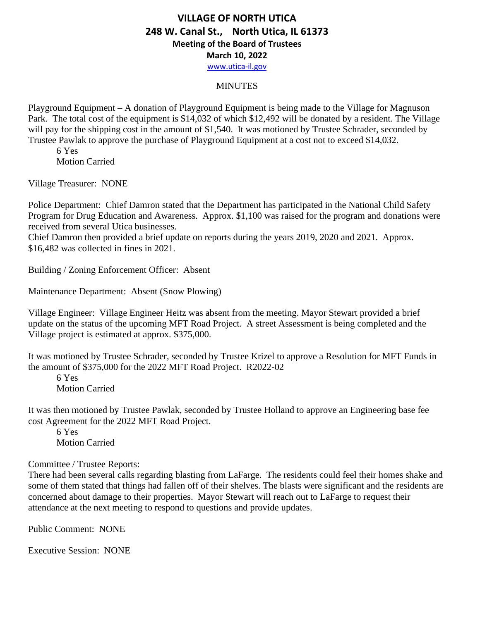[www.utica-il.gov](http://www.utica-il.gov/)

#### **MINUTES**

Playground Equipment – A donation of Playground Equipment is being made to the Village for Magnuson Park. The total cost of the equipment is \$14,032 of which \$12,492 will be donated by a resident. The Village will pay for the shipping cost in the amount of \$1,540. It was motioned by Trustee Schrader, seconded by Trustee Pawlak to approve the purchase of Playground Equipment at a cost not to exceed \$14,032.

6 Yes Motion Carried

Village Treasurer: NONE

Police Department: Chief Damron stated that the Department has participated in the National Child Safety Program for Drug Education and Awareness. Approx. \$1,100 was raised for the program and donations were received from several Utica businesses.

Chief Damron then provided a brief update on reports during the years 2019, 2020 and 2021. Approx. \$16,482 was collected in fines in 2021.

Building / Zoning Enforcement Officer: Absent

Maintenance Department: Absent (Snow Plowing)

Village Engineer: Village Engineer Heitz was absent from the meeting. Mayor Stewart provided a brief update on the status of the upcoming MFT Road Project. A street Assessment is being completed and the Village project is estimated at approx. \$375,000.

It was motioned by Trustee Schrader, seconded by Trustee Krizel to approve a Resolution for MFT Funds in the amount of \$375,000 for the 2022 MFT Road Project. R2022-02

6 Yes Motion Carried

It was then motioned by Trustee Pawlak, seconded by Trustee Holland to approve an Engineering base fee cost Agreement for the 2022 MFT Road Project.

6 Yes Motion Carried

#### Committee / Trustee Reports:

There had been several calls regarding blasting from LaFarge. The residents could feel their homes shake and some of them stated that things had fallen off of their shelves. The blasts were significant and the residents are concerned about damage to their properties. Mayor Stewart will reach out to LaFarge to request their attendance at the next meeting to respond to questions and provide updates.

Public Comment: NONE

Executive Session: NONE